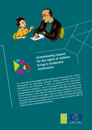

**Guaranteeing respect for the rights of children living in residential institutions**

It is universally acknowledged that the family is the best place for a child's development and well-being. However, children sometimes have to be development and well-being. However, children sometimes have to be entrusted to care institutions. A child can experience this "placement" entrusted to care institutions. A child can experience this "placement" *as a traumatic experience, and it is important that the care procedure,*  as a traannary experience, and it is important that the child concerned. In its arrangements and conditions respect the rights of the child concerned. In its *recommendation on the rights of children living in residential institutions,*  $\frac{1}{2}$  recommendation on the rights of children living in residential institutions, **the Council of Europe encourages states to adopt legislative and policy** the Council of Europe encourages states to adopt legislative and policy **COLUTER OF LATOPE COLUTING**<br>measures to guarantee compliance with certain basic principles and quality in the same of the contract of the contract of the contract of the contract of the contract of the contract of the con **Standards.** The recommendation also sets out a number of specific rights of standards. The recommendation also sets out a number of specific rights of *children living in residential institutions.*

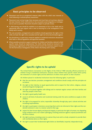#### **Basic principles to be observed**

- Placement must be an exceptional measure taken with the child's best interests in  $\blacktriangleright$ mind following a multidisciplinary assessment.
- Placement must not last longer than necessary and must have as its primary objective the best interests of the child and his or her successful social integration or reintegration as soon as possible. Placement should be subject to periodic review.
- A child leaving care should be entitled to an assessment of his or her needs and to appropriate after-care support with a view to ensuring his or her reintegration in the family and in society.
- The care procedure, arrangements and conditions should guarantee the rights of the child, not least the right to be consulted and the right not to be discriminated against.
- $\triangleright$  Any disciplinary or supervisory measures applied in residential institutions should have their basis in official regulations and approved standards.
- Where possible, preventive support measures for children and families, tailored to their specific needs, should be implemented. The child's family should be involved in the planning and organisation of the placement and receive the necessary support to permit the harmonious reintegration of the child in the family and in society.

## **Specific rights to be upheld**

The United Nations Convention on the Rights of the Child of 1989 naturally affords protection to children living in residential institutions. However, these children have specific needs which justify the reiteration of certain rights and the definition of others more specific to their situation.

All children placed in residential institutions have the following rights, in particular:

- $\triangleright$  that the care decision, procedure, arrangement and conditions should comply with the principles set out above;
- the right to their identity, to equal opportunities and to respect for their ethnic, religious, cultural, social and linguistic background;
- the right to be placed together with siblings and to maintain regular contact with their families and other key people in their lives;
- $\blacktriangleright$  the right to good quality health care;
- access to all kinds of education and vocational training under the same conditions as apply to other children;
- $\triangleright$  the right to be prepared for active, responsible citizenship through play, sport, cultural activities and increasing responsibilities;
- the right to participate in decisions concerning them and to be informed of their rights and the residential institution's rules in a manner suited to their age;
- **P** respect for their human dignity and physical integrity, in particular the right to humane, non-degrading living conditions and a non-violent upbringing, including protection against corporal punishment and all forms of abuse;
- the right to privacy, including access to a person they trust and to a body competent to provide them with confidential advice on their rights;
- the right to assert their fundamental rights before an identifiable, impartial, independent body.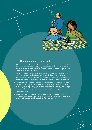

### **Quality standards to be met**

- $\blacktriangleright$  All childcare institutions should be duly accredited and registered by a competent public authority. Institutions run by religious organisations and NGOs can also have an important role in caring for children provided they are accredited, registered and inspected by the public authorities.
- The care institution should as far as possible be located close to the child's home environment to facilitate regular contact between the child and his or her parents.
- An individual care plan should be drawn up based on the child's capacities, abilities and autonomy, with a view to preparing him or her for a future life outside the institution.
- Conditions inside the institution should be organised so as to ensure the child's best possible mental, emotional and physical development. Small, family-style living units should be encouraged. A diversified, competent, stable staff is important. Teams should be multidisciplinary, have sufficient resources and comply with a code of ethics describing standards of practice consistent with the United Nations Convention on the Rights of the Child.
- $\triangleright$  An effective system for the monitoring and external control of care institutions should be established in the light of these standards. Any breach of children's rights should be sanctioned in accordance with appropriate, effective procedures.